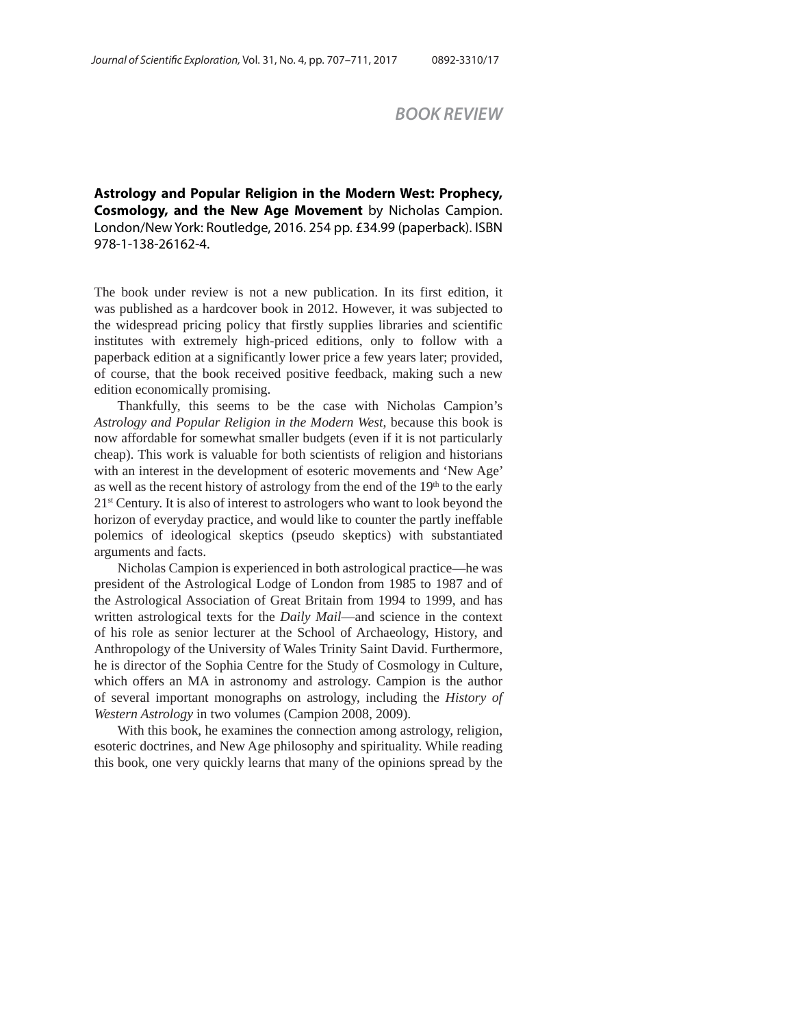## *BOOK REVIEW*

**Astrology and Popular Religion in the Modern West: Prophecy, Cosmology, and the New Age Movement** by Nicholas Campion. London/New York: Routledge, 2016. 254 pp. £34.99 (paperback). ISBN 978-1-138-26162-4.

The book under review is not a new publication. In its first edition, it was published as a hardcover book in 2012. However, it was subjected to the widespread pricing policy that firstly supplies libraries and scientific institutes with extremely high-priced editions, only to follow with a paperback edition at a significantly lower price a few years later; provided, of course, that the book received positive feedback, making such a new edition economically promising.

Thankfully, this seems to be the case with Nicholas Campion's *Astrology and Popular Religion in the Modern West*, because this book is now affordable for somewhat smaller budgets (even if it is not particularly cheap). This work is valuable for both scientists of religion and historians with an interest in the development of esoteric movements and 'New Age' as well as the recent history of astrology from the end of the  $19<sup>th</sup>$  to the early 21st Century. It is also of interest to astrologers who want to look beyond the horizon of everyday practice, and would like to counter the partly ineffable polemics of ideological skeptics (pseudo skeptics) with substantiated arguments and facts.

Nicholas Campion is experienced in both astrological practice—he was president of the Astrological Lodge of London from 1985 to 1987 and of the Astrological Association of Great Britain from 1994 to 1999, and has written astrological texts for the *Daily Mail*—and science in the context of his role as senior lecturer at the School of Archaeology, History, and Anthropology of the University of Wales Trinity Saint David. Furthermore, he is director of the Sophia Centre for the Study of Cosmology in Culture, which offers an MA in astronomy and astrology. Campion is the author of several important monographs on astrology, including the *History of Western Astrology* in two volumes (Campion 2008, 2009).

With this book, he examines the connection among astrology, religion, esoteric doctrines, and New Age philosophy and spirituality. While reading this book, one very quickly learns that many of the opinions spread by the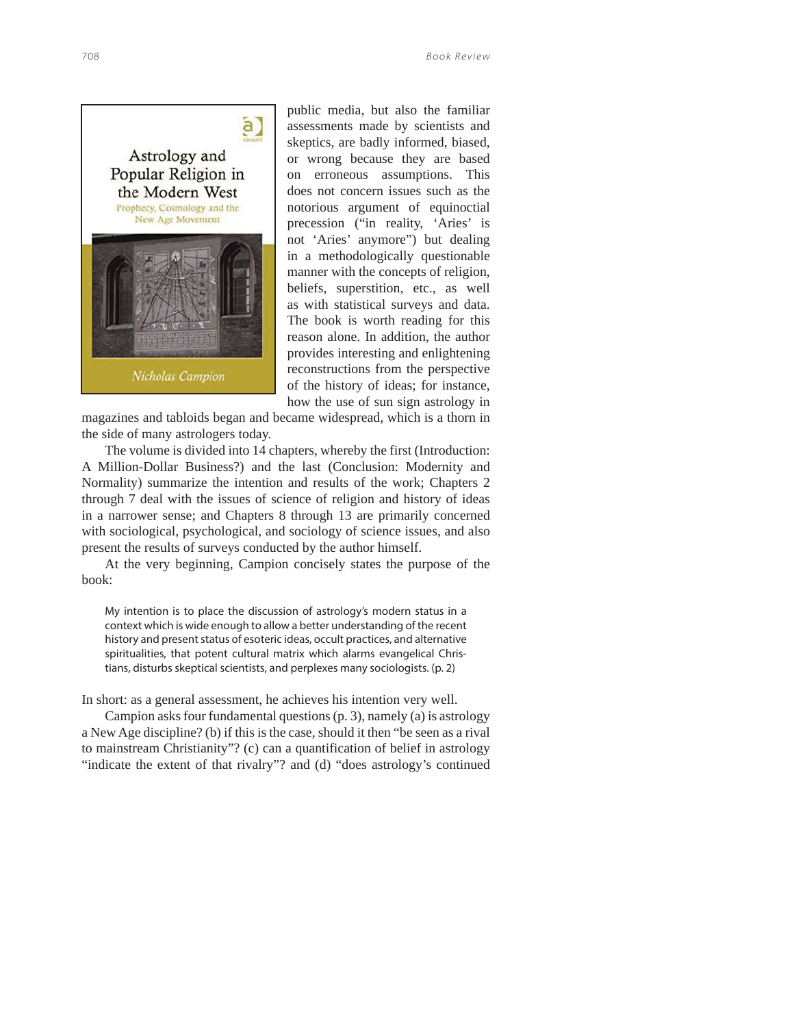

public media, but also the familiar assessments made by scientists and skeptics, are badly informed, biased, or wrong because they are based on erroneous assumptions. This does not concern issues such as the notorious argument of equinoctial precession ("in reality, 'Aries' is not 'Aries' anymore") but dealing in a methodologically questionable manner with the concepts of religion, beliefs, superstition, etc., as well as with statistical surveys and data. The book is worth reading for this reason alone. In addition, the author provides interesting and enlightening reconstructions from the perspective of the history of ideas; for instance, how the use of sun sign astrology in

magazines and tabloids began and became widespread, which is a thorn in the side of many astrologers today.

The volume is divided into 14 chapters, whereby the first (Introduction: A Million-Dollar Business?) and the last (Conclusion: Modernity and Normality) summarize the intention and results of the work; Chapters 2 through 7 deal with the issues of science of religion and history of ideas in a narrower sense; and Chapters 8 through 13 are primarily concerned with sociological, psychological, and sociology of science issues, and also present the results of surveys conducted by the author himself.

At the very beginning, Campion concisely states the purpose of the book:

My intention is to place the discussion of astrology's modern status in a context which is wide enough to allow a better understanding of the recent history and present status of esoteric ideas, occult practices, and alternative spiritualities, that potent cultural matrix which alarms evangelical Christians, disturbs skeptical scientists, and perplexes many sociologists. (p. 2)

In short: as a general assessment, he achieves his intention very well.

Campion asks four fundamental questions (p. 3), namely (a) is astrology a New Age discipline? (b) if this is the case, should it then "be seen as a rival to mainstream Christianity"? (c) can a quantification of belief in astrology "indicate the extent of that rivalry"? and (d) "does astrology's continued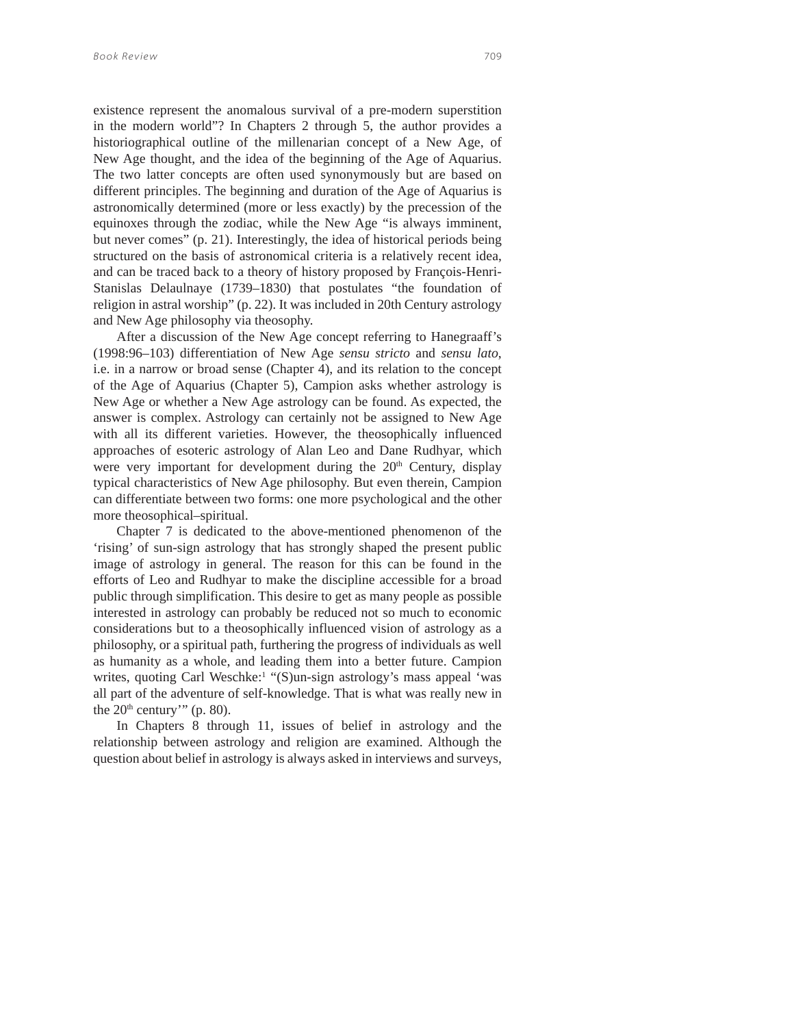existence represent the anomalous survival of a pre-modern superstition in the modern world"? In Chapters 2 through 5, the author provides a historiographical outline of the millenarian concept of a New Age, of New Age thought, and the idea of the beginning of the Age of Aquarius. The two latter concepts are often used synonymously but are based on different principles. The beginning and duration of the Age of Aquarius is astronomically determined (more or less exactly) by the precession of the equinoxes through the zodiac, while the New Age "is always imminent, but never comes" (p. 21). Interestingly, the idea of historical periods being structured on the basis of astronomical criteria is a relatively recent idea, and can be traced back to a theory of history proposed by François-Henri-Stanislas Delaulnaye (1739–1830) that postulates "the foundation of religion in astral worship" (p. 22). It was included in 20th Century astrology and New Age philosophy via theosophy.

After a discussion of the New Age concept referring to Hanegraaff's (1998:96–103) differentiation of New Age *sensu stricto* and *sensu lato*, i.e. in a narrow or broad sense (Chapter 4), and its relation to the concept of the Age of Aquarius (Chapter 5), Campion asks whether astrology is New Age or whether a New Age astrology can be found. As expected, the answer is complex. Astrology can certainly not be assigned to New Age with all its different varieties. However, the theosophically influenced approaches of esoteric astrology of Alan Leo and Dane Rudhyar, which were very important for development during the 20<sup>th</sup> Century, display typical characteristics of New Age philosophy. But even therein, Campion can differentiate between two forms: one more psychological and the other more theosophical–spiritual.

Chapter 7 is dedicated to the above-mentioned phenomenon of the 'rising' of sun-sign astrology that has strongly shaped the present public image of astrology in general. The reason for this can be found in the efforts of Leo and Rudhyar to make the discipline accessible for a broad public through simplification. This desire to get as many people as possible interested in astrology can probably be reduced not so much to economic considerations but to a theosophically influenced vision of astrology as a philosophy, or a spiritual path, furthering the progress of individuals as well as humanity as a whole, and leading them into a better future. Campion writes, quoting Carl Weschke:<sup>1</sup> "(S)un-sign astrology's mass appeal 'was all part of the adventure of self-knowledge. That is what was really new in the  $20<sup>th</sup>$  century'" (p. 80).

In Chapters 8 through 11, issues of belief in astrology and the relationship between astrology and religion are examined. Although the question about belief in astrology is always asked in interviews and surveys,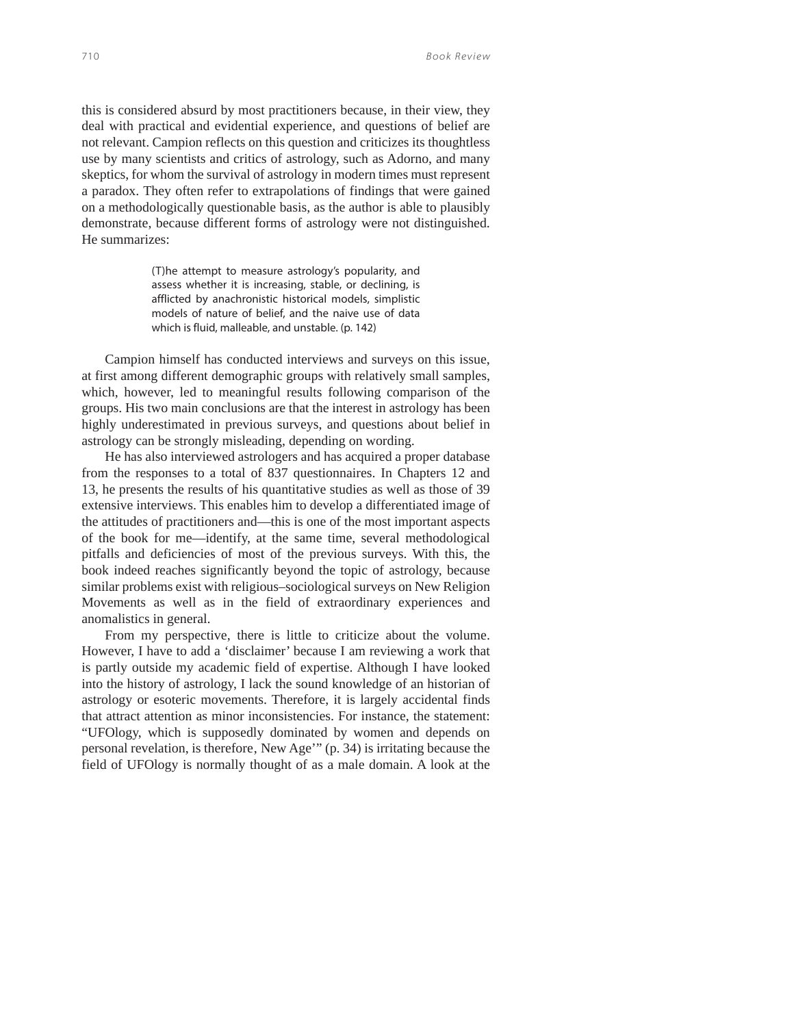this is considered absurd by most practitioners because, in their view, they deal with practical and evidential experience, and questions of belief are not relevant. Campion reflects on this question and criticizes its thoughtless use by many scientists and critics of astrology, such as Adorno, and many skeptics, for whom the survival of astrology in modern times must represent a paradox. They often refer to extrapolations of findings that were gained on a methodologically questionable basis, as the author is able to plausibly demonstrate, because different forms of astrology were not distinguished. He summarizes:

> (T)he attempt to measure astrology's popularity, and assess whether it is increasing, stable, or declining, is afflicted by anachronistic historical models, simplistic models of nature of belief, and the naive use of data which is fluid, malleable, and unstable. (p. 142)

Campion himself has conducted interviews and surveys on this issue, at first among different demographic groups with relatively small samples, which, however, led to meaningful results following comparison of the groups. His two main conclusions are that the interest in astrology has been highly underestimated in previous surveys, and questions about belief in astrology can be strongly misleading, depending on wording.

He has also interviewed astrologers and has acquired a proper database from the responses to a total of 837 questionnaires. In Chapters 12 and 13, he presents the results of his quantitative studies as well as those of 39 extensive interviews. This enables him to develop a differentiated image of the attitudes of practitioners and—this is one of the most important aspects of the book for me—identify, at the same time, several methodological pitfalls and deficiencies of most of the previous surveys. With this, the book indeed reaches significantly beyond the topic of astrology, because similar problems exist with religious–sociological surveys on New Religion Movements as well as in the field of extraordinary experiences and anomalistics in general.

From my perspective, there is little to criticize about the volume. However, I have to add a 'disclaimer' because I am reviewing a work that is partly outside my academic field of expertise. Although I have looked into the history of astrology, I lack the sound knowledge of an historian of astrology or esoteric movements. Therefore, it is largely accidental finds that attract attention as minor inconsistencies. For instance, the statement: "UFOlogy, which is supposedly dominated by women and depends on personal revelation, is therefore, New Age'" (p. 34) is irritating because the field of UFOlogy is normally thought of as a male domain. A look at the